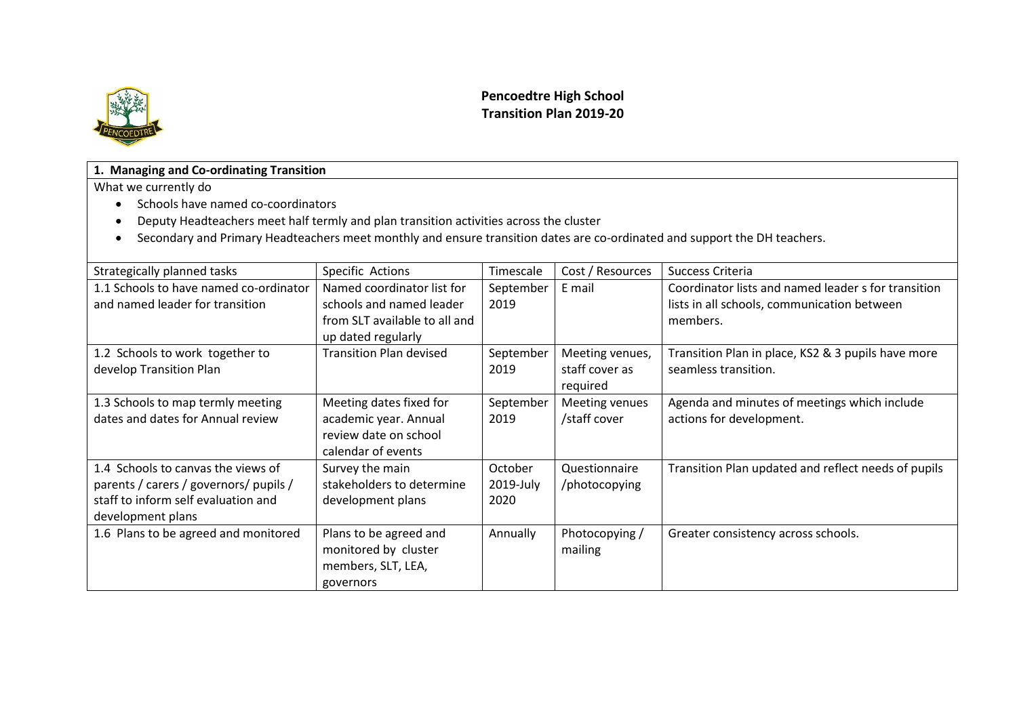

## **Pencoedtre High School Transition Plan 2019-20**

#### **1. Managing and Co-ordinating Transition**

- Schools have named co-coordinators
- Deputy Headteachers meet half termly and plan transition activities across the cluster
- Secondary and Primary Headteachers meet monthly and ensure transition dates are co-ordinated and support the DH teachers.

| Strategically planned tasks                                                                                                              | Specific Actions                                                                                              | Timescale                    | Cost / Resources                              | Success Criteria                                                                                               |
|------------------------------------------------------------------------------------------------------------------------------------------|---------------------------------------------------------------------------------------------------------------|------------------------------|-----------------------------------------------|----------------------------------------------------------------------------------------------------------------|
| 1.1 Schools to have named co-ordinator<br>and named leader for transition                                                                | Named coordinator list for<br>schools and named leader<br>from SLT available to all and<br>up dated regularly | September<br>2019            | E mail                                        | Coordinator lists and named leader s for transition<br>lists in all schools, communication between<br>members. |
| 1.2 Schools to work together to<br>develop Transition Plan                                                                               | <b>Transition Plan devised</b>                                                                                | September<br>2019            | Meeting venues,<br>staff cover as<br>required | Transition Plan in place, KS2 & 3 pupils have more<br>seamless transition.                                     |
| 1.3 Schools to map termly meeting<br>dates and dates for Annual review                                                                   | Meeting dates fixed for<br>academic year. Annual<br>review date on school<br>calendar of events               | September<br>2019            | Meeting venues<br>/staff cover                | Agenda and minutes of meetings which include<br>actions for development.                                       |
| 1.4 Schools to canvas the views of<br>parents / carers / governors/ pupils /<br>staff to inform self evaluation and<br>development plans | Survey the main<br>stakeholders to determine<br>development plans                                             | October<br>2019-July<br>2020 | Questionnaire<br>/photocopying                | Transition Plan updated and reflect needs of pupils                                                            |
| 1.6 Plans to be agreed and monitored                                                                                                     | Plans to be agreed and<br>monitored by cluster<br>members, SLT, LEA,<br>governors                             | Annually                     | Photocopying /<br>mailing                     | Greater consistency across schools.                                                                            |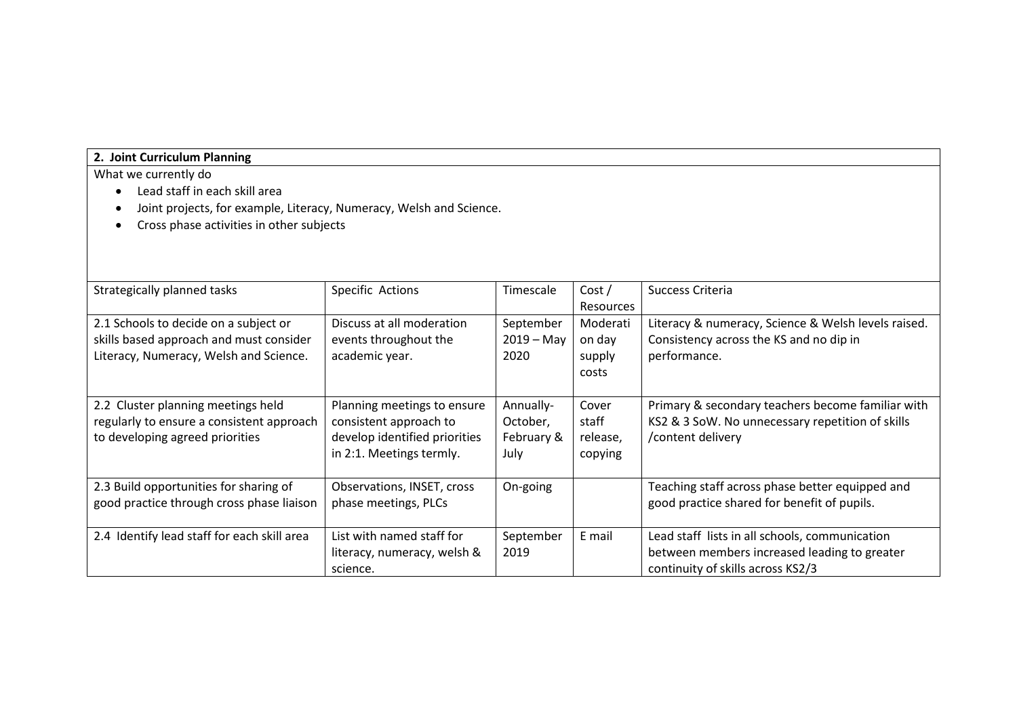## **2. Joint Curriculum Planning**

- Lead staff in each skill area
- Joint projects, for example, Literacy, Numeracy, Welsh and Science.
- Cross phase activities in other subjects

| Strategically planned tasks                                                                                                | Specific Actions                                                                                                   | Timescale                                   | Cost/<br>Resources                    | Success Criteria                                                                                                                    |
|----------------------------------------------------------------------------------------------------------------------------|--------------------------------------------------------------------------------------------------------------------|---------------------------------------------|---------------------------------------|-------------------------------------------------------------------------------------------------------------------------------------|
| 2.1 Schools to decide on a subject or<br>skills based approach and must consider<br>Literacy, Numeracy, Welsh and Science. | Discuss at all moderation<br>events throughout the<br>academic year.                                               | September<br>$2019 - May$<br>2020           | Moderati<br>on day<br>supply<br>costs | Literacy & numeracy, Science & Welsh levels raised.<br>Consistency across the KS and no dip in<br>performance.                      |
| 2.2 Cluster planning meetings held<br>regularly to ensure a consistent approach<br>to developing agreed priorities         | Planning meetings to ensure<br>consistent approach to<br>develop identified priorities<br>in 2:1. Meetings termly. | Annually-<br>October,<br>February &<br>July | Cover<br>staff<br>release,<br>copying | Primary & secondary teachers become familiar with<br>KS2 & 3 SoW. No unnecessary repetition of skills<br>/content delivery          |
| 2.3 Build opportunities for sharing of<br>good practice through cross phase liaison                                        | Observations, INSET, cross<br>phase meetings, PLCs                                                                 | On-going                                    |                                       | Teaching staff across phase better equipped and<br>good practice shared for benefit of pupils.                                      |
| 2.4 Identify lead staff for each skill area                                                                                | List with named staff for<br>literacy, numeracy, welsh &<br>science.                                               | September<br>2019                           | E mail                                | Lead staff lists in all schools, communication<br>between members increased leading to greater<br>continuity of skills across KS2/3 |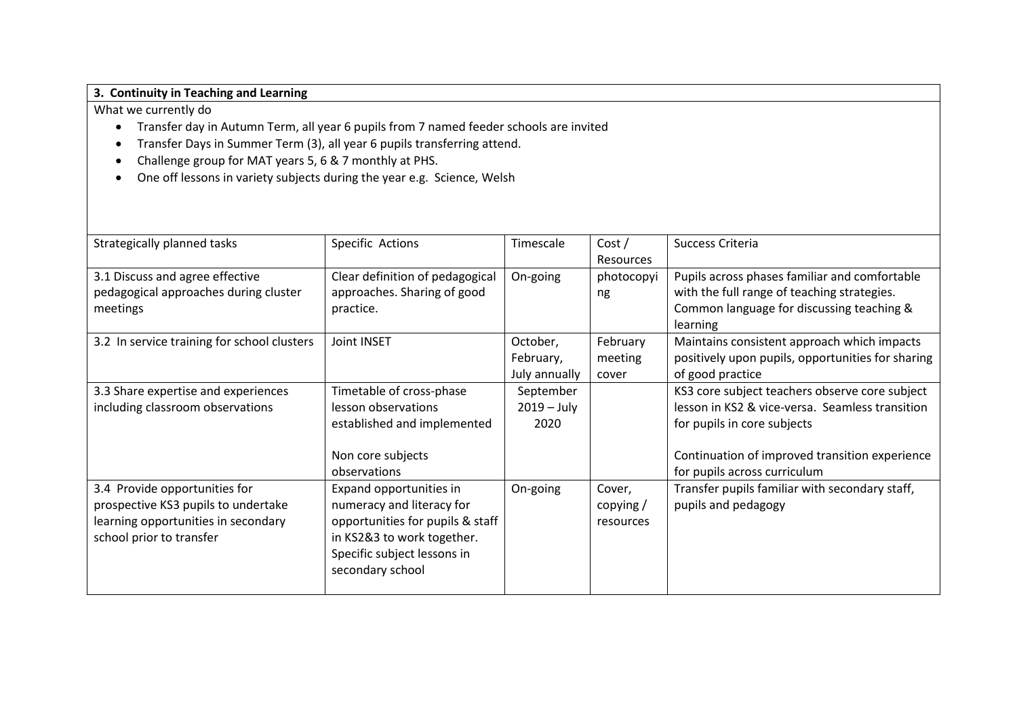## **3. Continuity in Teaching and Learning**

- Transfer day in Autumn Term, all year 6 pupils from 7 named feeder schools are invited
- Transfer Days in Summer Term (3), all year 6 pupils transferring attend.
- Challenge group for MAT years 5, 6 & 7 monthly at PHS.
- One off lessons in variety subjects during the year e.g. Science, Welsh

| Strategically planned tasks                                                                                                             | Specific Actions                                                                                                                                                          | Timescale                              | Cost/<br>Resources              | Success Criteria                                                                                                                                                                                                   |
|-----------------------------------------------------------------------------------------------------------------------------------------|---------------------------------------------------------------------------------------------------------------------------------------------------------------------------|----------------------------------------|---------------------------------|--------------------------------------------------------------------------------------------------------------------------------------------------------------------------------------------------------------------|
| 3.1 Discuss and agree effective<br>pedagogical approaches during cluster<br>meetings                                                    | Clear definition of pedagogical<br>approaches. Sharing of good<br>practice.                                                                                               | On-going                               | photocopyi<br>ng                | Pupils across phases familiar and comfortable<br>with the full range of teaching strategies.<br>Common language for discussing teaching &<br>learning                                                              |
| 3.2 In service training for school clusters                                                                                             | Joint INSET                                                                                                                                                               | October,<br>February,<br>July annually | February<br>meeting<br>cover    | Maintains consistent approach which impacts<br>positively upon pupils, opportunities for sharing<br>of good practice                                                                                               |
| 3.3 Share expertise and experiences<br>including classroom observations                                                                 | Timetable of cross-phase<br>lesson observations<br>established and implemented<br>Non core subjects<br>observations                                                       | September<br>$2019 - July$<br>2020     |                                 | KS3 core subject teachers observe core subject<br>lesson in KS2 & vice-versa. Seamless transition<br>for pupils in core subjects<br>Continuation of improved transition experience<br>for pupils across curriculum |
| 3.4 Provide opportunities for<br>prospective KS3 pupils to undertake<br>learning opportunities in secondary<br>school prior to transfer | Expand opportunities in<br>numeracy and literacy for<br>opportunities for pupils & staff<br>in KS2&3 to work together.<br>Specific subject lessons in<br>secondary school | On-going                               | Cover,<br>copying/<br>resources | Transfer pupils familiar with secondary staff,<br>pupils and pedagogy                                                                                                                                              |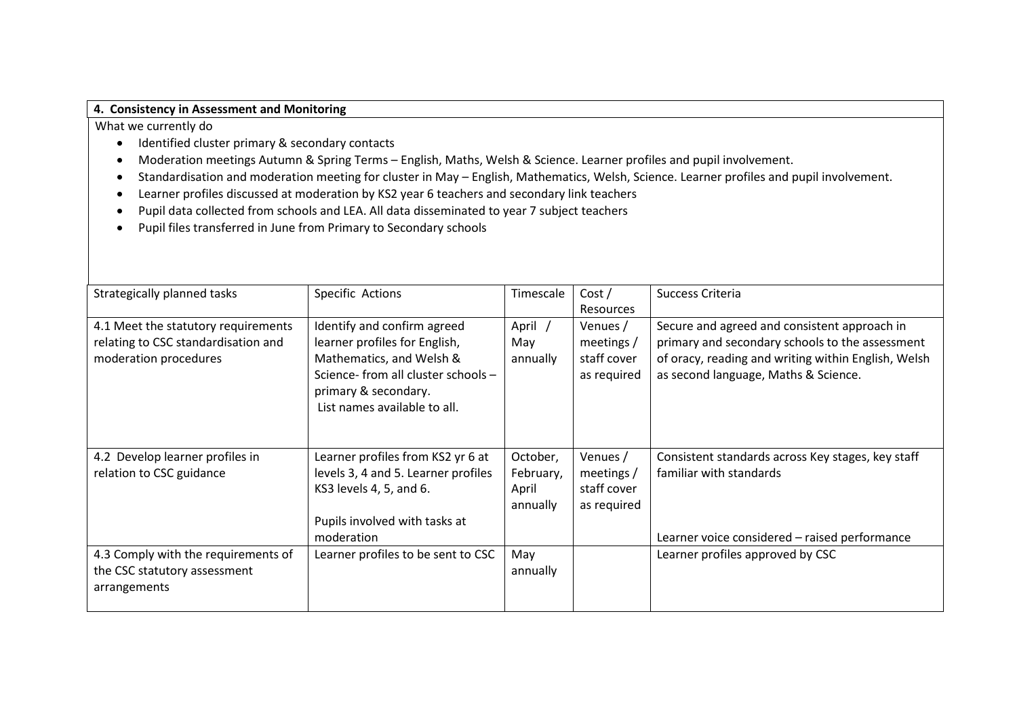#### **4. Consistency in Assessment and Monitoring**

- Identified cluster primary & secondary contacts
- Moderation meetings Autumn & Spring Terms English, Maths, Welsh & Science. Learner profiles and pupil involvement.
- Standardisation and moderation meeting for cluster in May English, Mathematics, Welsh, Science. Learner profiles and pupil involvement.
- Learner profiles discussed at moderation by KS2 year 6 teachers and secondary link teachers
- Pupil data collected from schools and LEA. All data disseminated to year 7 subject teachers
- Pupil files transferred in June from Primary to Secondary schools

| Strategically planned tasks                                                                         | Specific Actions                                                                                                                                                                        | Timescale                                  | Cost/                                                | Success Criteria                                                                                                                                                                               |
|-----------------------------------------------------------------------------------------------------|-----------------------------------------------------------------------------------------------------------------------------------------------------------------------------------------|--------------------------------------------|------------------------------------------------------|------------------------------------------------------------------------------------------------------------------------------------------------------------------------------------------------|
|                                                                                                     |                                                                                                                                                                                         |                                            | Resources                                            |                                                                                                                                                                                                |
| 4.1 Meet the statutory requirements<br>relating to CSC standardisation and<br>moderation procedures | Identify and confirm agreed<br>learner profiles for English,<br>Mathematics, and Welsh &<br>Science- from all cluster schools -<br>primary & secondary.<br>List names available to all. | April<br>May<br>annually                   | Venues /<br>meetings /<br>staff cover<br>as required | Secure and agreed and consistent approach in<br>primary and secondary schools to the assessment<br>of oracy, reading and writing within English, Welsh<br>as second language, Maths & Science. |
| 4.2 Develop learner profiles in<br>relation to CSC guidance                                         | Learner profiles from KS2 yr 6 at<br>levels 3, 4 and 5. Learner profiles<br>KS3 levels 4, 5, and 6.<br>Pupils involved with tasks at<br>moderation                                      | October,<br>February,<br>April<br>annually | Venues /<br>meetings /<br>staff cover<br>as required | Consistent standards across Key stages, key staff<br>familiar with standards<br>Learner voice considered - raised performance                                                                  |
| 4.3 Comply with the requirements of<br>the CSC statutory assessment<br>arrangements                 | Learner profiles to be sent to CSC                                                                                                                                                      | May<br>annually                            |                                                      | Learner profiles approved by CSC                                                                                                                                                               |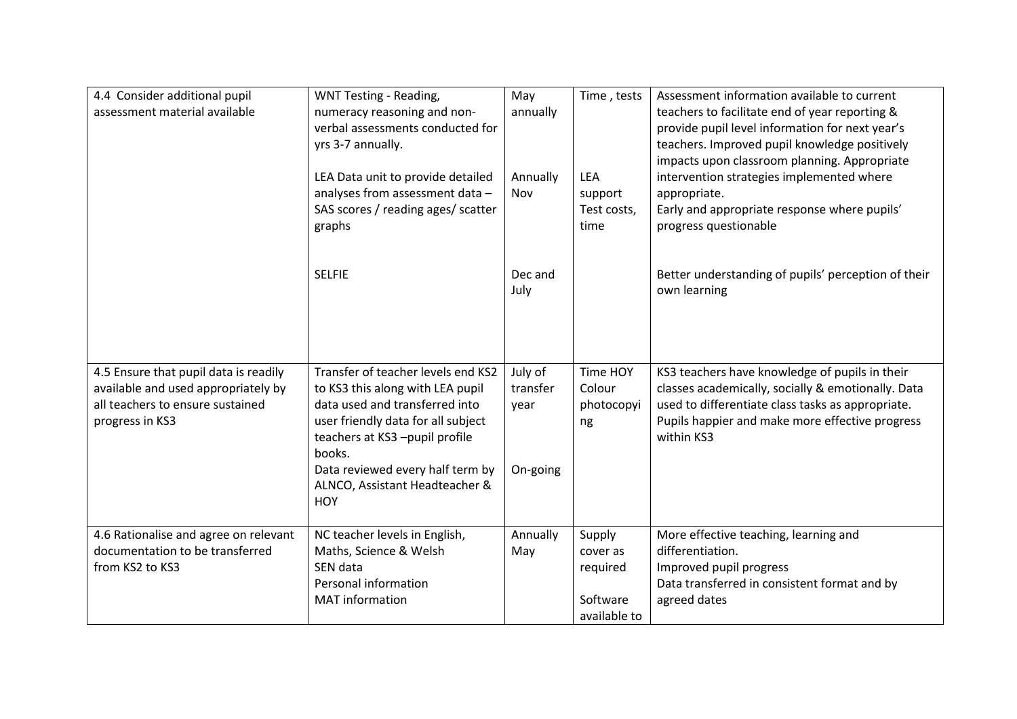| 4.4 Consider additional pupil<br>assessment material available                                                                      | WNT Testing - Reading,<br>numeracy reasoning and non-<br>verbal assessments conducted for<br>yrs 3-7 annually.<br>LEA Data unit to provide detailed<br>analyses from assessment data -<br>SAS scores / reading ages/ scatter<br>graphs                                        | May<br>annually<br>Annually<br>Nov      | Time, tests<br>LEA<br>support<br>Test costs,<br>time       | Assessment information available to current<br>teachers to facilitate end of year reporting &<br>provide pupil level information for next year's<br>teachers. Improved pupil knowledge positively<br>impacts upon classroom planning. Appropriate<br>intervention strategies implemented where<br>appropriate.<br>Early and appropriate response where pupils'<br>progress questionable |
|-------------------------------------------------------------------------------------------------------------------------------------|-------------------------------------------------------------------------------------------------------------------------------------------------------------------------------------------------------------------------------------------------------------------------------|-----------------------------------------|------------------------------------------------------------|-----------------------------------------------------------------------------------------------------------------------------------------------------------------------------------------------------------------------------------------------------------------------------------------------------------------------------------------------------------------------------------------|
|                                                                                                                                     | <b>SELFIE</b>                                                                                                                                                                                                                                                                 | Dec and<br>July                         |                                                            | Better understanding of pupils' perception of their<br>own learning                                                                                                                                                                                                                                                                                                                     |
| 4.5 Ensure that pupil data is readily<br>available and used appropriately by<br>all teachers to ensure sustained<br>progress in KS3 | Transfer of teacher levels end KS2<br>to KS3 this along with LEA pupil<br>data used and transferred into<br>user friendly data for all subject<br>teachers at KS3-pupil profile<br>books.<br>Data reviewed every half term by<br>ALNCO, Assistant Headteacher &<br><b>HOY</b> | July of<br>transfer<br>year<br>On-going | Time HOY<br>Colour<br>photocopyi<br>ng                     | KS3 teachers have knowledge of pupils in their<br>classes academically, socially & emotionally. Data<br>used to differentiate class tasks as appropriate.<br>Pupils happier and make more effective progress<br>within KS3                                                                                                                                                              |
| 4.6 Rationalise and agree on relevant<br>documentation to be transferred<br>from KS2 to KS3                                         | NC teacher levels in English,<br>Maths, Science & Welsh<br>SEN data<br>Personal information<br><b>MAT</b> information                                                                                                                                                         | Annually<br>May                         | Supply<br>cover as<br>required<br>Software<br>available to | More effective teaching, learning and<br>differentiation.<br>Improved pupil progress<br>Data transferred in consistent format and by<br>agreed dates                                                                                                                                                                                                                                    |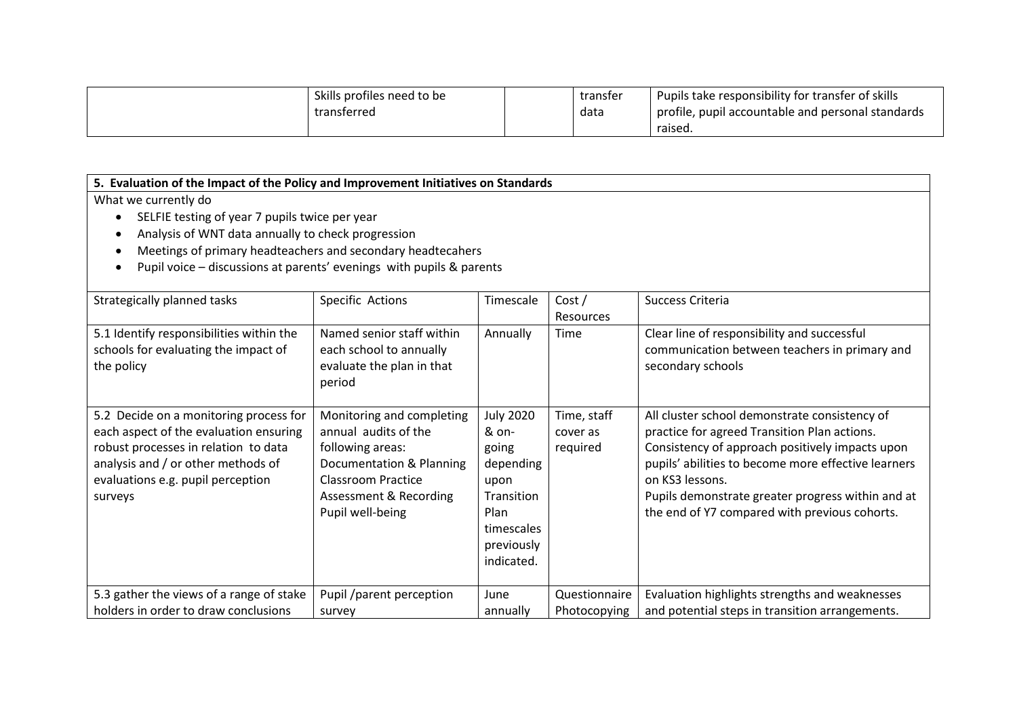| Skills profiles need to be | transfer | Pupils take responsibility for transfer of skills |
|----------------------------|----------|---------------------------------------------------|
| transferred                | data     | profile, pupil accountable and personal standards |
|                            |          | raised.                                           |

| 5. Evaluation of the Impact of the Policy and Improvement Initiatives on Standards |                           |                  |               |                                                     |  |  |  |
|------------------------------------------------------------------------------------|---------------------------|------------------|---------------|-----------------------------------------------------|--|--|--|
| What we currently do                                                               |                           |                  |               |                                                     |  |  |  |
| SELFIE testing of year 7 pupils twice per year                                     |                           |                  |               |                                                     |  |  |  |
| Analysis of WNT data annually to check progression                                 |                           |                  |               |                                                     |  |  |  |
| Meetings of primary headteachers and secondary headtecahers                        |                           |                  |               |                                                     |  |  |  |
| Pupil voice - discussions at parents' evenings with pupils & parents               |                           |                  |               |                                                     |  |  |  |
|                                                                                    |                           |                  |               |                                                     |  |  |  |
| Strategically planned tasks                                                        | Specific Actions          | Timescale        | Cost/         | Success Criteria                                    |  |  |  |
|                                                                                    |                           |                  | Resources     |                                                     |  |  |  |
| 5.1 Identify responsibilities within the                                           | Named senior staff within | Annually         | Time          | Clear line of responsibility and successful         |  |  |  |
| schools for evaluating the impact of                                               | each school to annually   |                  |               | communication between teachers in primary and       |  |  |  |
| the policy                                                                         | evaluate the plan in that |                  |               | secondary schools                                   |  |  |  |
|                                                                                    | period                    |                  |               |                                                     |  |  |  |
|                                                                                    |                           |                  |               |                                                     |  |  |  |
| 5.2 Decide on a monitoring process for                                             | Monitoring and completing | <b>July 2020</b> | Time, staff   | All cluster school demonstrate consistency of       |  |  |  |
| each aspect of the evaluation ensuring                                             | annual audits of the      | & on-            | cover as      | practice for agreed Transition Plan actions.        |  |  |  |
| robust processes in relation to data                                               | following areas:          | going            | required      | Consistency of approach positively impacts upon     |  |  |  |
| analysis and / or other methods of                                                 | Documentation & Planning  | depending        |               | pupils' abilities to become more effective learners |  |  |  |
| evaluations e.g. pupil perception                                                  | <b>Classroom Practice</b> | upon             |               | on KS3 lessons.                                     |  |  |  |
| surveys                                                                            | Assessment & Recording    | Transition       |               | Pupils demonstrate greater progress within and at   |  |  |  |
|                                                                                    | Pupil well-being          | Plan             |               | the end of Y7 compared with previous cohorts.       |  |  |  |
|                                                                                    |                           | timescales       |               |                                                     |  |  |  |
|                                                                                    |                           | previously       |               |                                                     |  |  |  |
|                                                                                    |                           | indicated.       |               |                                                     |  |  |  |
|                                                                                    |                           |                  |               |                                                     |  |  |  |
| 5.3 gather the views of a range of stake                                           | Pupil /parent perception  | June             | Questionnaire | Evaluation highlights strengths and weaknesses      |  |  |  |
| holders in order to draw conclusions                                               | survey                    | annually         | Photocopying  | and potential steps in transition arrangements.     |  |  |  |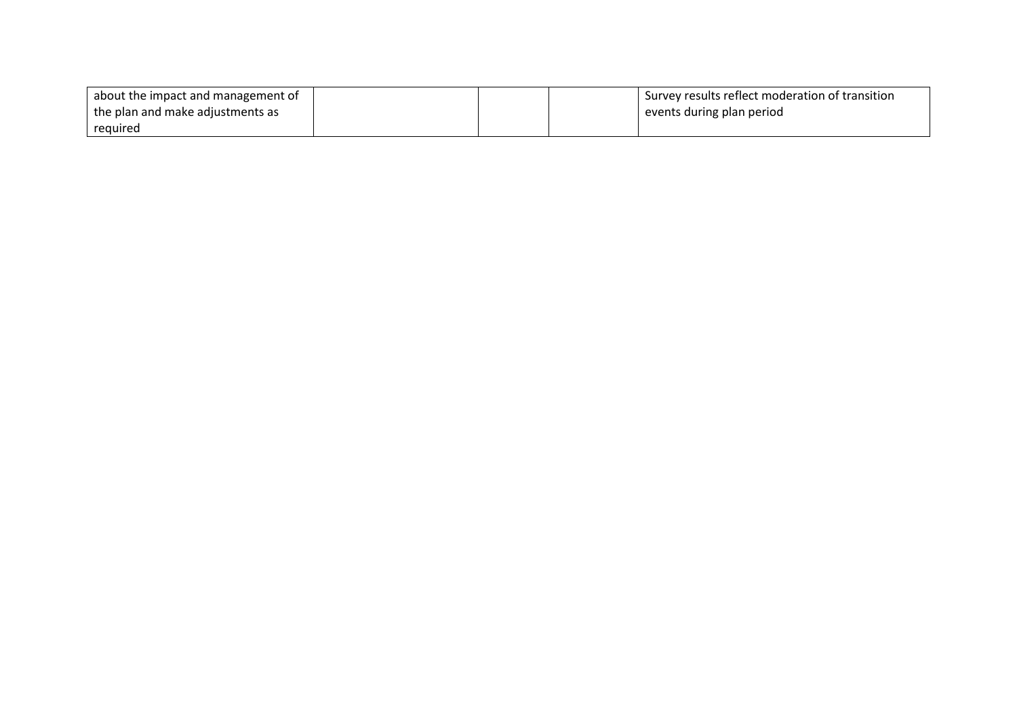| about the impact and management of |  | Survey results reflect moderation of transition |
|------------------------------------|--|-------------------------------------------------|
| the plan and make adjustments as   |  | events during plan period                       |
| reguired                           |  |                                                 |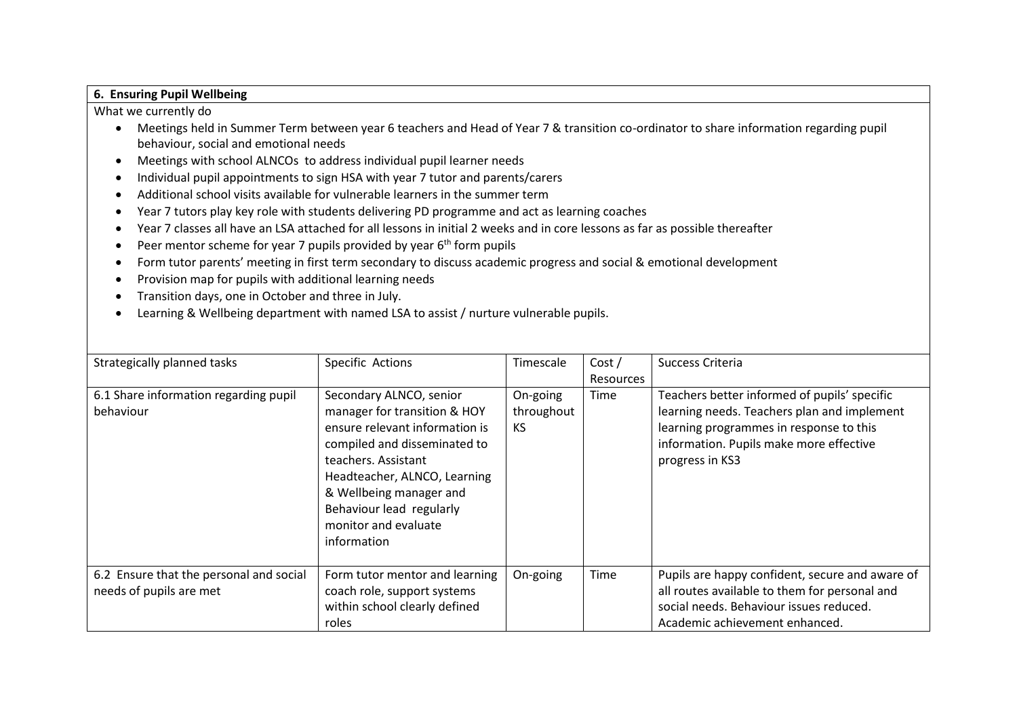#### **6. Ensuring Pupil Wellbeing**

- Meetings held in Summer Term between year 6 teachers and Head of Year 7 & transition co-ordinator to share information regarding pupil behaviour, social and emotional needs
- Meetings with school ALNCOs to address individual pupil learner needs
- Individual pupil appointments to sign HSA with year 7 tutor and parents/carers
- Additional school visits available for vulnerable learners in the summer term
- Year 7 tutors play key role with students delivering PD programme and act as learning coaches
- Year 7 classes all have an LSA attached for all lessons in initial 2 weeks and in core lessons as far as possible thereafter
- Peer mentor scheme for year 7 pupils provided by year  $6<sup>th</sup>$  form pupils
- Form tutor parents' meeting in first term secondary to discuss academic progress and social & emotional development
- Provision map for pupils with additional learning needs
- Transition days, one in October and three in July.
- Learning & Wellbeing department with named LSA to assist / nurture vulnerable pupils.

| Strategically planned tasks                                        | Specific Actions                                                                                                                                                                                                                                                               | Timescale                    | Cost/<br><b>Resources</b> | Success Criteria                                                                                                                                                                                     |
|--------------------------------------------------------------------|--------------------------------------------------------------------------------------------------------------------------------------------------------------------------------------------------------------------------------------------------------------------------------|------------------------------|---------------------------|------------------------------------------------------------------------------------------------------------------------------------------------------------------------------------------------------|
| 6.1 Share information regarding pupil<br>behaviour                 | Secondary ALNCO, senior<br>manager for transition & HOY<br>ensure relevant information is<br>compiled and disseminated to<br>teachers. Assistant<br>Headteacher, ALNCO, Learning<br>& Wellbeing manager and<br>Behaviour lead regularly<br>monitor and evaluate<br>information | On-going<br>throughout<br>KS | Time                      | Teachers better informed of pupils' specific<br>learning needs. Teachers plan and implement<br>learning programmes in response to this<br>information. Pupils make more effective<br>progress in KS3 |
| 6.2 Ensure that the personal and social<br>needs of pupils are met | Form tutor mentor and learning<br>coach role, support systems<br>within school clearly defined<br>roles                                                                                                                                                                        | On-going                     | Time                      | Pupils are happy confident, secure and aware of<br>all routes available to them for personal and<br>social needs. Behaviour issues reduced.<br>Academic achievement enhanced.                        |